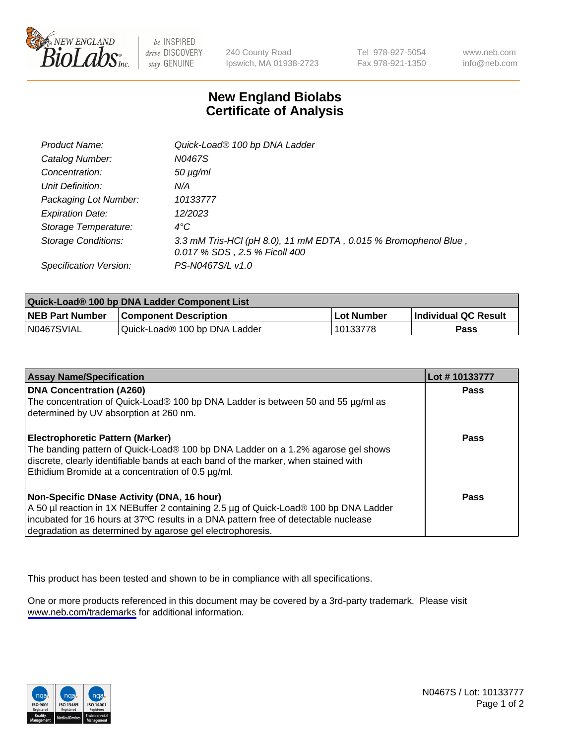

be INSPIRED drive DISCOVERY stay GENUINE

240 County Road Ipswich, MA 01938-2723 Tel 978-927-5054 Fax 978-921-1350

www.neb.com info@neb.com

## **New England Biolabs Certificate of Analysis**

| Product Name:              | Quick-Load® 100 bp DNA Ladder                                                                    |
|----------------------------|--------------------------------------------------------------------------------------------------|
| Catalog Number:            | N0467S                                                                                           |
| Concentration:             | <i>50 µg/ml</i>                                                                                  |
| Unit Definition:           | N/A                                                                                              |
| Packaging Lot Number:      | 10133777                                                                                         |
| <b>Expiration Date:</b>    | 12/2023                                                                                          |
| Storage Temperature:       | $4^{\circ}$ C                                                                                    |
| <b>Storage Conditions:</b> | 3.3 mM Tris-HCl (pH 8.0), 11 mM EDTA, 0.015 % Bromophenol Blue,<br>0.017 % SDS, 2.5 % Ficoll 400 |
| Specification Version:     | PS-N0467S/L v1.0                                                                                 |

| Quick-Load® 100 bp DNA Ladder Component List |                               |                   |                             |  |
|----------------------------------------------|-------------------------------|-------------------|-----------------------------|--|
| <b>NEB Part Number</b>                       | <b>Component Description</b>  | <b>Lot Number</b> | <b>Individual QC Result</b> |  |
| N0467SVIAL                                   | Quick-Load® 100 bp DNA Ladder | 10133778          | Pass                        |  |

| <b>Assay Name/Specification</b>                                                                                                                                                                                                                                                        | Lot #10133777 |
|----------------------------------------------------------------------------------------------------------------------------------------------------------------------------------------------------------------------------------------------------------------------------------------|---------------|
| <b>DNA Concentration (A260)</b><br>The concentration of Quick-Load® 100 bp DNA Ladder is between 50 and 55 µg/ml as<br>determined by UV absorption at 260 nm.                                                                                                                          | <b>Pass</b>   |
| Electrophoretic Pattern (Marker)<br>The banding pattern of Quick-Load® 100 bp DNA Ladder on a 1.2% agarose gel shows<br>discrete, clearly identifiable bands at each band of the marker, when stained with<br>Ethidium Bromide at a concentration of 0.5 µg/ml.                        | Pass          |
| Non-Specific DNase Activity (DNA, 16 hour)<br>A 50 µl reaction in 1X NEBuffer 2 containing 2.5 µg of Quick-Load® 100 bp DNA Ladder<br>incubated for 16 hours at 37°C results in a DNA pattern free of detectable nuclease<br>degradation as determined by agarose gel electrophoresis. | Pass          |

This product has been tested and shown to be in compliance with all specifications.

One or more products referenced in this document may be covered by a 3rd-party trademark. Please visit <www.neb.com/trademarks>for additional information.